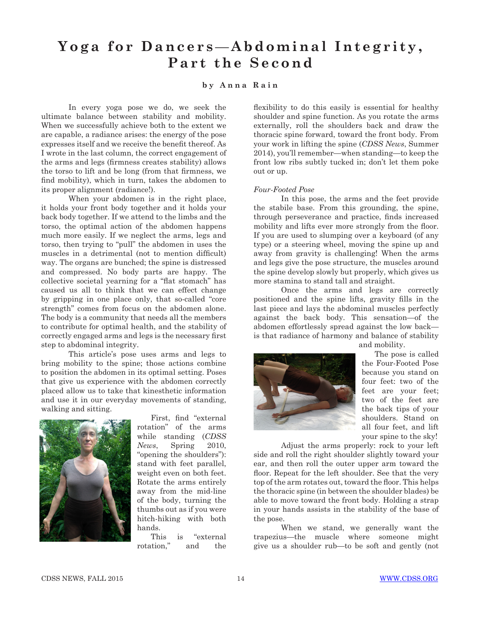## Yoga for Dancers—Abdominal Integrity, **Part the Second**

## **by Anna Rain**

In every yoga pose we do, we seek the ultimate balance between stability and mobility. When we successfully achieve both to the extent we are capable, a radiance arises: the energy of the pose expresses itself and we receive the benefit thereof. As I wrote in the last column, the correct engagement of the arms and legs (firmness creates stability) allows the torso to lift and be long (from that firmness, we find mobility), which in turn, takes the abdomen to its proper alignment (radiance!).

When your abdomen is in the right place, it holds your front body together and it holds your back body together. If we attend to the limbs and the torso, the optimal action of the abdomen happens much more easily. If we neglect the arms, legs and torso, then trying to "pull" the abdomen in uses the muscles in a detrimental (not to mention difficult) way. The organs are bunched; the spine is distressed and compressed. No body parts are happy. The collective societal yearning for a "flat stomach" has caused us all to think that we can effect change by gripping in one place only, that so-called "core strength" comes from focus on the abdomen alone. The body is a community that needs all the members to contribute for optimal health, and the stability of correctly engaged arms and legs is the necessary first step to abdominal integrity.

This article's pose uses arms and legs to bring mobility to the spine; those actions combine to position the abdomen in its optimal setting. Poses that give us experience with the abdomen correctly placed allow us to take that kinesthetic information and use it in our everyday movements of standing, walking and sitting.



First, find "external rotation" of the arms while standing (*CDSS News*, Spring 2010, "opening the shoulders"): stand with feet parallel, weight even on both feet. Rotate the arms entirely away from the mid-line of the body, turning the thumbs out as if you were hitch-hiking with both hands.

This is "external rotation," and the

flexibility to do this easily is essential for healthy shoulder and spine function. As you rotate the arms externally, roll the shoulders back and draw the thoracic spine forward, toward the front body. From your work in lifting the spine (*CDSS News*, Summer 2014), you'll remember—when standing—to keep the front low ribs subtly tucked in; don't let them poke out or up.

## *Four-Footed Pose*

In this pose, the arms and the feet provide the stabile base. From this grounding, the spine, through perseverance and practice, finds increased mobility and lifts ever more strongly from the floor. If you are used to slumping over a keyboard (of any type) or a steering wheel, moving the spine up and away from gravity is challenging! When the arms and legs give the pose structure, the muscles around the spine develop slowly but properly, which gives us more stamina to stand tall and straight.

Once the arms and legs are correctly positioned and the spine lifts, gravity fills in the last piece and lays the abdominal muscles perfectly against the back body. This sensation—of the abdomen effortlessly spread against the low back is that radiance of harmony and balance of stability



and mobility.

 The pose is called the Four-Footed Pose because you stand on four feet: two of the feet are your feet; two of the feet are the back tips of your shoulders. Stand on all four feet, and lift your spine to the sky!

Adjust the arms properly: rock to your left side and roll the right shoulder slightly toward your ear, and then roll the outer upper arm toward the floor. Repeat for the left shoulder. See that the very top of the arm rotates out, toward the floor. This helps the thoracic spine (in between the shoulder blades) be able to move toward the front body. Holding a strap in your hands assists in the stability of the base of the pose.

When we stand, we generally want the trapezius—the muscle where someone might give us a shoulder rub—to be soft and gently (not